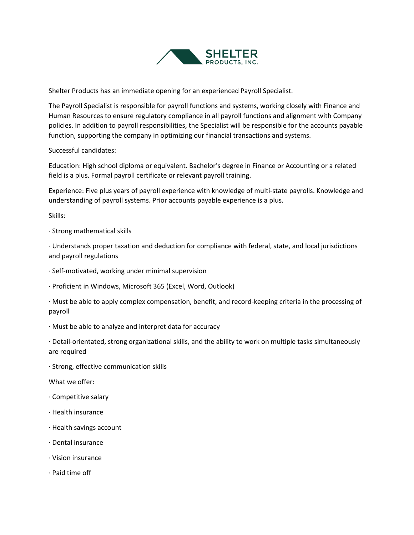

Shelter Products has an immediate opening for an experienced Payroll Specialist.

The Payroll Specialist is responsible for payroll functions and systems, working closely with Finance and Human Resources to ensure regulatory compliance in all payroll functions and alignment with Company policies. In addition to payroll responsibilities, the Specialist will be responsible for the accounts payable function, supporting the company in optimizing our financial transactions and systems.

Successful candidates:

Education: High school diploma or equivalent. Bachelor's degree in Finance or Accounting or a related field is a plus. Formal payroll certificate or relevant payroll training.

Experience: Five plus years of payroll experience with knowledge of multi-state payrolls. Knowledge and understanding of payroll systems. Prior accounts payable experience is a plus.

Skills:

· Strong mathematical skills

· Understands proper taxation and deduction for compliance with federal, state, and local jurisdictions and payroll regulations

- · Self-motivated, working under minimal supervision
- · Proficient in Windows, Microsoft 365 (Excel, Word, Outlook)

· Must be able to apply complex compensation, benefit, and record-keeping criteria in the processing of payroll

· Must be able to analyze and interpret data for accuracy

· Detail-orientated, strong organizational skills, and the ability to work on multiple tasks simultaneously are required

· Strong, effective communication skills

What we offer:

- · Competitive salary
- · Health insurance
- · Health savings account
- · Dental insurance
- · Vision insurance
- · Paid time off